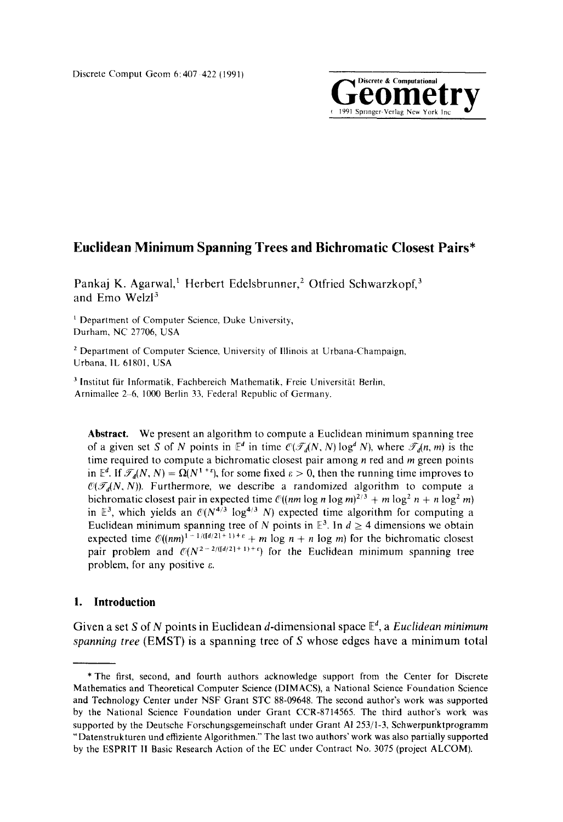Discrete Comput Geom 6: 407 - 422 (1991)



# **Euclidean Minimum Spanning Trees and Bichromatic Closest Pairs\***

Pankaj K. Agarwal,<sup>1</sup> Herbert Edelsbrunner,<sup>2</sup> Otfried Schwarzkopf,<sup>3</sup> and Emo Welzl<sup>3</sup>

<sup>1</sup> Department of Computer Science, Duke University, Durham, NC 27706, USA

<sup>2</sup> Department of Computer Science, University of Illinois at Urbana-Champaign, Urbana, 1L 61801, USA

<sup>3</sup> Institut für Informatik, Fachbereich Mathematik, Freie Universität Berlin, Arnimallee 2-6, 1000 Berlin 33, Federal Republic of Germany.

**Abstract.** We present an algorithm to compute a Euclidean minimum spanning tree of a given set S of N points in  $\mathbb{E}^d$  in time  $\mathcal{C}(\mathcal{T}_d(N, N) \log^d N)$ , where  $\mathcal{T}_d(n, m)$  is the time required to compute a bichromatic closest pair among *n* red and *m* green points in  $\mathbb{E}^d$ . If  $\mathcal{T}_d(N, N) = \Omega(N^{1+\epsilon})$ , for some fixed  $\epsilon > 0$ , then the running time improves to  $C(\mathcal{T}_n(N, N))$ . Furthermore, we describe a randomized algorithm to compute a bichromatic closest pair in expected time  $\mathcal{O}((nm \log n \log m)^{2/3} + m \log^2 n + n \log^2 m)$ in  $\mathbb{E}^3$ , which yields an  $\mathcal{O}(N^{4/3} \log^{4/3} N)$  expected time algorithm for computing a Euclidean minimum spanning tree of N points in  $\mathbb{E}^3$ . In  $d \geq 4$  dimensions we obtain expected time  $\mathcal{O}((nm)^{1-1/(d/2)+1)+\epsilon} + m \log n + n \log m$  for the bichromatic closest pair problem and  $\mathcal{O}(N^{2-2/(d/2)+1)+\epsilon}$  for the Euclidean minimum spanning tree problem, for any positive  $\varepsilon$ .

# **1. Introduction**

Given a set S of N points in Euclidean d-dimensional space  $\mathbb{E}^d$ , a *Euclidean minimum spanning tree* (EMST) is a spanning tree of S whose edges have a minimum total

<sup>\*</sup> The first, second, and fourth authors acknowledge support from the Center for Discrete Mathematics and Theoretical Computer Science (DIMACS), a National Science Foundation Science and Technology Center under NSF Grant STC 88-09648. The second author's work was supported by the National Science Foundation under Grant CCR-8714565. The third author's work was supported by the Deutsche Forschungsgemeinschaft under Grant Al 253/1-3, Schwerpunktprogramm "Datenstrukturen und effiziente Algorithmen." The last two authors' work was also partially supported by the ESPRIT II Basic Research Action of the EC under Contract No. 3075 (project ALCOM).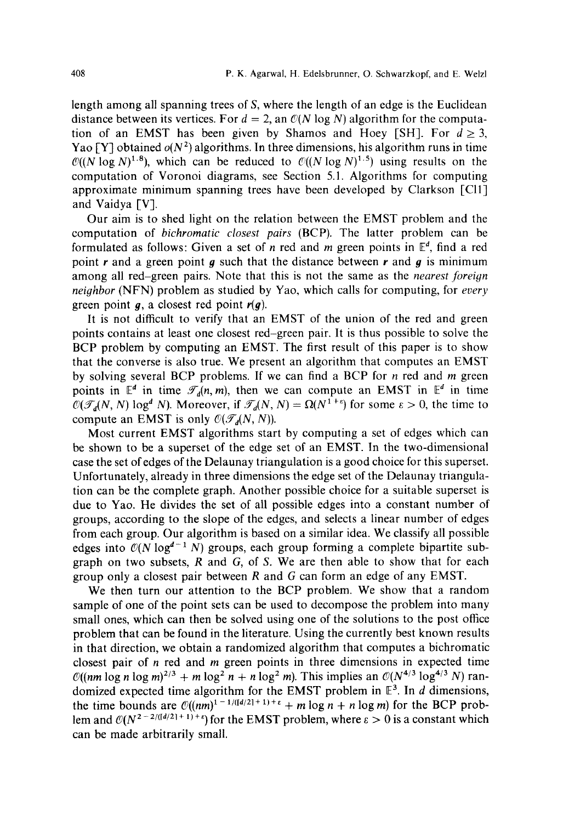length among all spanning trees of  $S$ , where the length of an edge is the Euclidean distance between its vertices. For  $d = 2$ , an  $\mathcal{O}(N)$  log N) algorithm for the computation of an EMST has been given by Shamos and Hoey [SH]. For  $d \geq 3$ , Yao [Y] obtained  $o(N^2)$  algorithms. In three dimensions, his algorithm runs in time  $\mathcal{O}((N \log N)^{1.8})$ , which can be reduced to  $\mathcal{O}((N \log N)^{1.5})$  using results on the computation of Voronoi diagrams, see Section 5.1. Algorithms for computing approximate minimum spanning trees have been developed by Clarkson [Cll] and Vaidya [V].

Our aim is to shed light on the relation between the EMST problem and the computation of *bichromatic closest pairs* (BCP). The latter problem can be formulated as follows: Given a set of n red and m green points in  $\mathbb{E}^d$ , find a red point r and a green point q such that the distance between r and  $q$  is minimum among all red-green pairs. Note that this is not the same as the *nearest foreign neighbor* (NFN) problem as studied by Yao, which calls for computing, for *every*  green point  $g$ , a closest red point  $r(g)$ .

It is not difficult to verify that an EMST of the union of the red and green points contains at least one closest red-green pair, It is thus possible to solve the BCP problem by computing an EMST. The first result of this paper is to show that the converse is also true. We present an algorithm that computes an EMST by solving several BCP problems. If we can find a BCP for  $n$  red and  $m$  green points in  $\mathbb{E}^d$  in time  $\mathcal{T}_d(n, m)$ , then we can compute an EMST in  $\mathbb{E}^d$  in time  $\mathcal{O}(\mathcal{J}_d(N, N) \log^d N)$ . Moreover, if  $\mathcal{J}_d(N, N) = \Omega(N^{1+\epsilon})$  for some  $\epsilon > 0$ , the time to compute an EMST is only  $\mathcal{O}(\mathcal{T}_4(N, N))$ .

Most current EMST algorithms start by computing a set of edges which can be shown to be a superset of the edge set of an EMST. In the two-dimensional case the set of edges of the Delaunay triangulation is a good choice for this superset. Unfortunately, already in three dimensions the edge set of the Delaunay triangulation can be the complete graph. Another possible choice for a suitable superset is due to Yao. He divides the set of all possible edges into a constant number of groups, according to the slope of the edges, and selects a linear number of edges from each group. Our algorithm is based on a similar idea. We classify all possible edges into  $\mathcal{O}(N \log^{d-1} N)$  groups, each group forming a complete bipartite subgraph on two subsets,  $R$  and  $G$ , of  $S$ . We are then able to show that for each group only a closest pair between  $R$  and  $G$  can form an edge of any EMST.

We then turn our attention to the BCP problem. We show that a random sample of one of the point sets can be used to decompose the problem into many small ones, which can then be solved using one of the solutions to the post office problem that can be found in the literature. Using the currently best known results in that direction, we obtain a randomized algorithm that computes a bichromatic closest pair of  $n$  red and  $m$  green points in three dimensions in expected time  $\mathcal{O}((nm \log n \log m)^{2/3} + m \log^2 n + n \log^2 m)$ . This implies an  $\mathcal{O}(N^{4/3} \log^{4/3} N)$  randomized expected time algorithm for the EMST problem in  $E<sup>3</sup>$ . In d dimensions, the time bounds are  $\mathcal{O}((nm)^{1-1/((d/2)+1)+\epsilon} + m \log n + n \log m)$  for the BCP problem and  $\mathcal{O}(N^{2-2/(d/2)+1)+\epsilon})$  for the EMST problem, where  $\epsilon > 0$  is a constant which can be made arbitrarily small.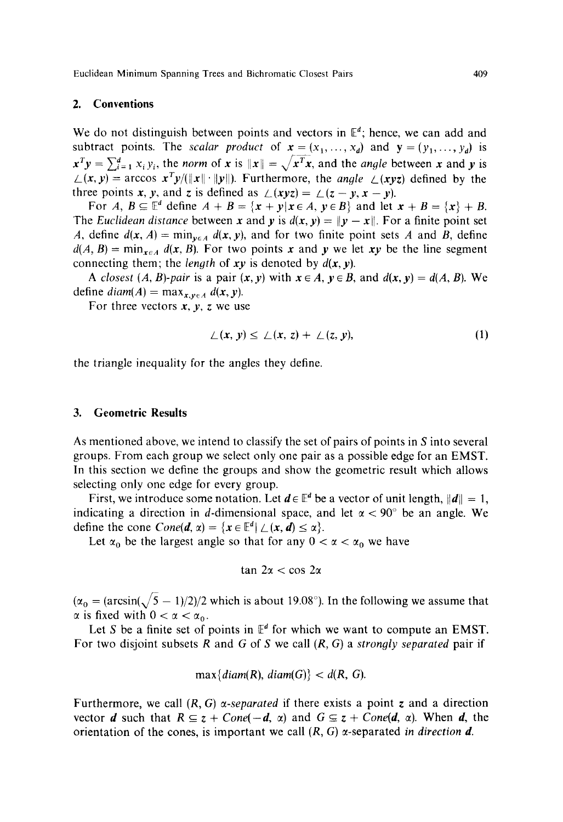# **2. Conventions**

We do not distinguish between points and vectors in  $\mathbb{E}^d$ ; hence, we can add and subtract points. The *scalar product* of  $x = (x_1, ..., x_d)$  and  $y = (y_1, ..., y_d)$  is  $x^T y = \sum_{i=1}^d x_i y_i$ , the *norm* of x is  $||x|| = \sqrt{x^T x}$ , and the *angle* between x and y is  $L(x, y)$  = arccos  $x^T y/(||x|| \cdot ||y||)$ . Furthermore, the *angle*  $L(xyz)$  defined by the three points x, y, and z is defined as  $\angle (xyz) = \angle (z - y, x - y)$ .

For A,  $B \subseteq \mathbb{E}^d$  define  $A + B = \{x + y | x \in A, y \in B\}$  and let  $x + B = \{x\} + B$ . The *Euclidean distance* between x and y is  $d(x, y) = ||y - x||$ . For a finite point set A, define  $d(x, A) = \min_{y \in A} d(x, y)$ , and for two finite point sets A and B, define  $d(A, B) = \min_{x \in A} d(x, B)$ . For two points x and y we let xy be the line segment connecting them; the *length* of  $xy$  is denoted by  $d(x, y)$ .

*A closest (A, B)-pair is a pair*  $(x, y)$  *with*  $x \in A$ ,  $y \in B$ , and  $d(x, y) = d(A, B)$ . We define  $diam(A) = max_{x,y \in A} d(x, y)$ .

For three vectors  $x, y, z$  we use

$$
\angle(x, y) \leq \angle(x, z) + \angle(z, y), \tag{1}
$$

the triangle inequality for the angles they define.

#### **3. Geometric Results**

As mentioned above, we intend to classify the set of pairs of points in S into several groups. From each group we select only one pair as a possible edge for an EMST. In this section we define the groups and show the geometric result which allows selecting only one edge for every group.

First, we introduce some notation. Let  $d \in \mathbb{E}^d$  be a vector of unit length,  $||d|| = 1$ , indicating a direction in d-dimensional space, and let  $\alpha < 90^{\circ}$  be an angle. We define the cone  $Cone(d, \alpha) = \{x \in \mathbb{F}^d | \angle (x, d) \leq \alpha\}.$ 

Let  $\alpha_0$  be the largest angle so that for any  $0 < \alpha < \alpha_0$  we have

$$
\tan 2\alpha < \cos 2\alpha
$$

 $(\alpha_0 = (\arcsin(\sqrt{5} - 1)/2)/2$  which is about 19.08°). In the following we assume that  $\alpha$  is fixed with  $0 < \alpha < \alpha_0$ .

Let S be a finite set of points in  $E^d$  for which we want to compute an EMST. For two disjoint subsets R and G of S we call (R, G) a *strongly separated* pair if

$$
\max\{diam(R), \, diam(G)\} < d(R, G).
$$

Furthermore, we call  $(R, G)$  *a-separated* if there exists a point z and a direction vector **d** such that  $R \subseteq z + Cone(-d, \alpha)$  and  $G \subseteq z + Cone(d, \alpha)$ . When **d**, the orientation of the cones, is important we call  $(R, G)$   $\alpha$ -separated *in direction*  $d$ .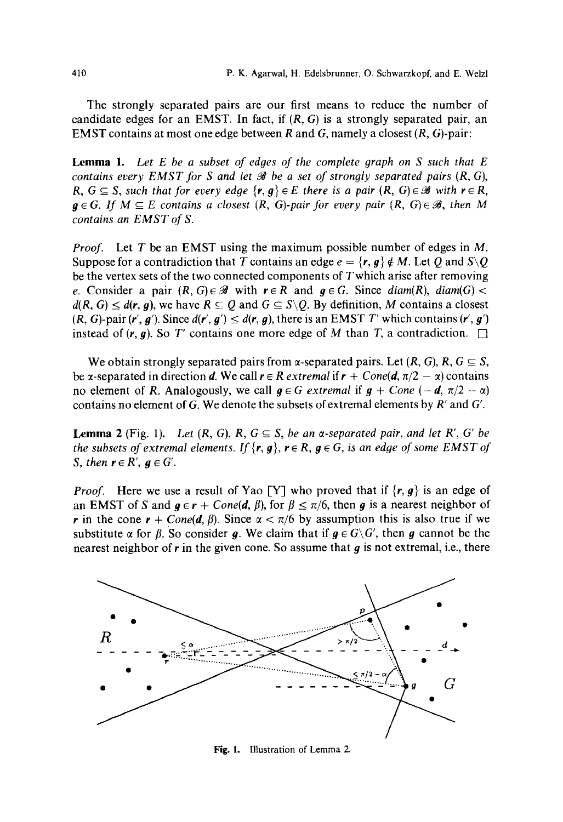The strongly separated pairs are our first means to reduce the number of candidate edges for an EMST. In fact, if  $(R, G)$  is a strongly separated pair, an EMST contains at most one edge between R and G, namely a closest  $(R, G)$ -pair:

Lemma 1. *Let E be a subset of edges of the complete graph on S such that E contains every EMST for S and let*  $\mathcal{B}$  *be a set of strongly separated pairs (R, G), R, G*  $\subseteq$  *S, such that for every edge*  $\{r, g\} \in E$  there is a pair  $(R, G) \in \mathcal{B}$  with  $r \in R$ ,  $g \in G$ . If  $M \subseteq E$  contains a closest  $(R, G)$ -pair for every pair  $(R, G) \in \mathcal{B}$ , then M *contains an EMST of S.* 

*Proof.* Let T be an EMST using the maximum possible number of edges in M. Suppose for a contradiction that T contains an edge  $e = \{r, q\} \notin M$ . Let Q and  $S \setminus O$ be the vertex sets of the two connected components of  $T$  which arise after removing e. Consider a pair  $(R, G) \in \mathscr{B}$  with  $r \in R$  and  $q \in G$ . Since  $diam(R)$ ,  $diam(G)$  $d(R, G) \leq d(r, g)$ , we have  $R \subseteq Q$  and  $G \subseteq S \backslash Q$ . By definition, M contains a closest  $(R, G)$ -pair  $(r', g')$ . Since  $d(r', g') \leq d(r, g)$ , there is an EMST T' which contains  $(r', g')$ instead of  $(r, q)$ . So T' contains one more edge of M than T, a contradiction.  $\Box$ 

We obtain strongly separated pairs from  $\alpha$ -separated pairs. Let  $(R, G)$ ,  $R, G \subseteq S$ , be  $\alpha$ -separated in direction **d**. We call  $r \in R$  extremal if  $r + Cone(d, \pi/2 - \alpha)$  contains no element of R. Analogously, we call  $g \in G$  extremal if  $g + Cone$  (-d,  $\pi/2 - \alpha$ ) contains no element of G. We denote the subsets of extremal elements by  $R'$  and  $G'$ .

**Lemma 2** (Fig. 1). Let  $(R, G)$ ,  $R, G \subseteq S$ , be an  $\alpha$ -separated pair, and let  $R', G'$  be *the subsets of extremal elements.* If  $\{r, g\}$ ,  $r \in R$ ,  $g \in G$ , *is an edge of some EMST of S, then*  $r \in R'$ ,  $q \in G'$ .

*Proof.* Here we use a result of Yao [Y] who proved that if  $\{r, g\}$  is an edge of an EMST of S and  $g \in r + Cone(d, \beta)$ , for  $\beta \leq \pi/6$ , then g is a nearest neighbor of *r* in the cone  $r + Cone(d, \beta)$ . Since  $\alpha < \pi/6$  by assumption this is also true if we substitute  $\alpha$  for  $\beta$ . So consider g. We claim that if  $g \in G\backslash G'$ , then g cannot be the nearest neighbor of  $r$  in the given cone. So assume that  $q$  is not extremal, i.e., there



**Fig. 1.** Illustration of Lemma **2,**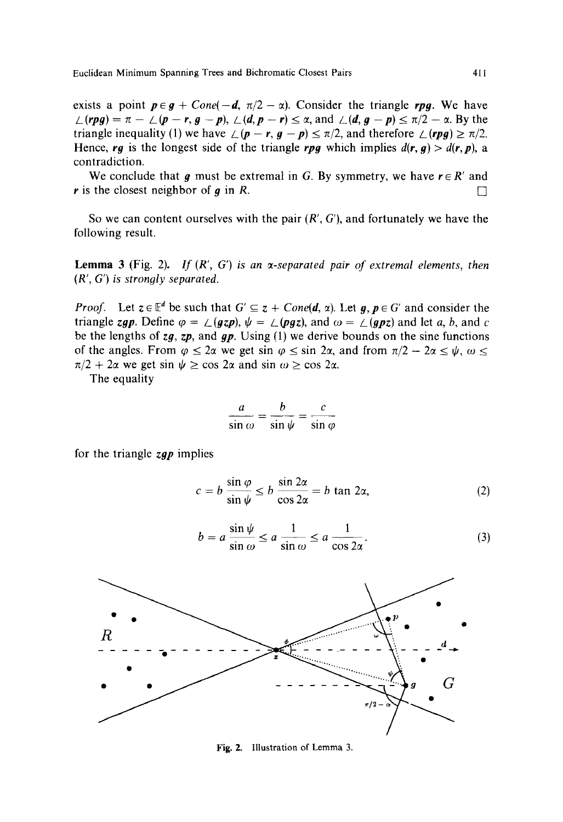exists a point  $p \in g + Cone(-d, \pi/2 - \alpha)$ . Consider the triangle *rpg*. We have  $\angle$  (rpg) =  $\pi - \angle (p - r, g - p)$ ,  $\angle (d, p - r) \leq \alpha$ , and  $\angle (d, g - p) \leq \pi/2 - \alpha$ . By the triangle inequality (1) we have  $\angle (p - r, q - p) \leq \pi/2$ , and therefore  $\angle (rpq) \geq \pi/2$ . Hence, *rg* is the longest side of the triangle *rpg* which implies  $d(r, g) > d(r, p)$ , a contradiction.

We conclude that g must be extremal in G. By symmetry, we have  $r \in R'$  and r is the closest neighbor of q in R.  $\Box$ 

So we can content ourselves with the pair  $(R', G')$ , and fortunately we have the following result.

**Lemma 3** (Fig. 2). If  $(R', G')$  is an *x*-separated pair of extremal elements, then *(R', G') is strongly separated.* 

*Proof.* Let  $z \in \mathbb{F}^d$  be such that  $G' \subseteq z + Cone(d, \alpha)$ . Let  $g, p \in G'$  and consider the triangle *zgp*. Define  $\varphi = \angle(gzp)$ ,  $\psi = \angle(pgz)$ , and  $\omega = \angle(ppz)$  and let a, b, and c be the lengths of  $zg$ ,  $zp$ , and  $qp$ . Using (1) we derive bounds on the sine functions of the angles. From  $\varphi \leq 2\alpha$  we get sin  $\varphi \leq \sin 2\alpha$ , and from  $\pi/2 - 2\alpha \leq \psi$ ,  $\omega \leq \alpha$  $\pi/2 + 2\alpha$  we get sin  $\psi \ge \cos 2\alpha$  and sin  $\omega \ge \cos 2\alpha$ .

The equality

$$
\frac{a}{\sin \omega} = \frac{b}{\sin \psi} = \frac{c}{\sin \varphi}
$$

for the triangle *zgp* implies

$$
c = b \frac{\sin \varphi}{\sin \psi} \le b \frac{\sin 2\alpha}{\cos 2\alpha} = b \tan 2\alpha, \tag{2}
$$

$$
b = a \frac{\sin \psi}{\sin \omega} \le a \frac{1}{\sin \omega} \le a \frac{1}{\cos 2\alpha}.
$$
 (3)



Fig. 2. Illustration of Lemma 3.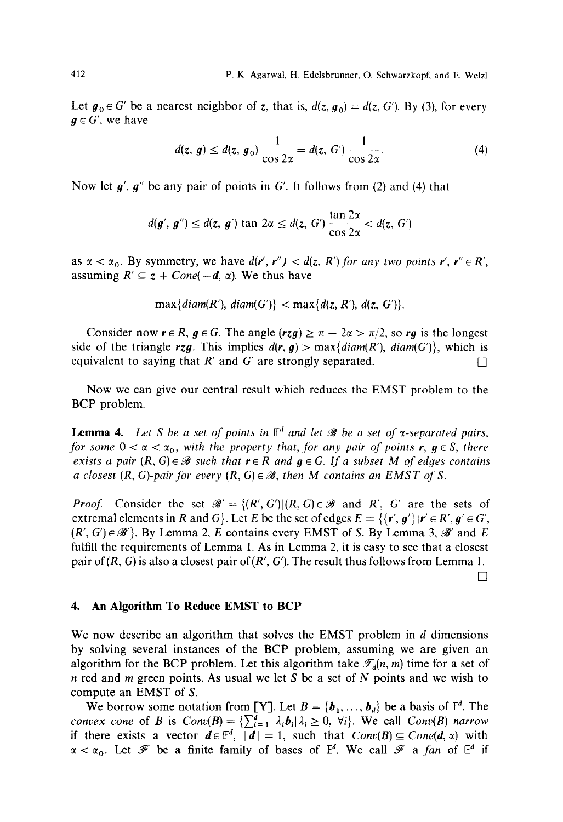Let  $g_0 \in G'$  be a nearest neighbor of z, that is,  $d(z, g_0) = d(z, G')$ . By (3), for every  $g \in G'$ , we have

$$
d(z, g) \le d(z, g_0) \frac{1}{\cos 2\alpha} = d(z, G') \frac{1}{\cos 2\alpha}.
$$
 (4)

Now let  $g'$ ,  $g''$  be any pair of points in G'. It follows from (2) and (4) that

$$
d(\boldsymbol{g}', \boldsymbol{g}'') \leq d(z, \boldsymbol{g}') \tan 2\alpha \leq d(z, G') \frac{\tan 2\alpha}{\cos 2\alpha} < d(z, G')
$$

as  $\alpha < \alpha_0$ . By symmetry, we have  $d(\mathbf{r}', \mathbf{r}'') < d(z, R')$  for any two points  $\mathbf{r}', \mathbf{r}'' \in R'$ , assuming  $R' \subseteq z + Cone(-d, \alpha)$ . We thus have

$$
\max\{diam(R'), \, diam(G')\} < \max\{d(z, R'), \, d(z, G')\}.
$$

Consider now  $r \in R$ ,  $g \in G$ . The angle  $(rzg) \geq \pi - 2\alpha > \pi/2$ , so rg is the longest side of the triangle *rzg*. This implies  $d(r, g) > \max\{diam(R'), diam(G')\}$ , which is equivalent to saying that  $R'$  and  $G'$  are strongly separated.

Now we can give our central result which reduces the EMST problem to the BCP problem.

**Lemma 4.** *Let S be a set of points in*  $E^d$  *and let*  $\mathcal{B}$  *be a set of*  $\alpha$ *-separated pairs, for some*  $0 < \alpha < \alpha_0$ , with the property that, for any pair of points **r**,  $g \in S$ , there *exists a pair*  $(R, G) \in \mathcal{B}$  such that  $r \in R$  and  $g \in G$ . If a subset M of edges contains *a closest*  $(R, G)$ -pair for every  $(R, G) \in \mathcal{B}$ , then M contains an EMST of S.

*Proof.* Consider the set  $\mathscr{B}' = \{(R', G') | (R, G) \in \mathscr{B} \text{ and } R', G' \text{ are the sets of } \mathscr{B}' = \{(R', G') | (R, G) \in \mathscr{B} \text{ and } R' \}$ extremal elements in R and G. Let E be the set of edges  $E = \{ \{r', g'\} | r' \in R', g' \in G'$ ,  $(R', G') \in \mathcal{B}'$ . By Lemma 2, E contains every EMST of S. By Lemma 3,  $\mathcal{B}'$  and E fulfill the requirements of Lemma 1. As in Lemma 2, it is easy to see that a closest pair of  $(R, G)$  is also a closest pair of  $(R', G')$ . The result thus follows from Lemma 1.  $\Box$ 

#### **4. An Algorithm To Reduce EMST to BCP**

We now describe an algorithm that solves the EMST problem in d dimensions by solving several instances of the BCP problem, assuming we are given an algorithm for the BCP problem. Let this algorithm take  $\mathcal{T}_d(n, m)$  time for a set of n red and m green points. As usual we let S be a set of N points and we wish to compute an EMST of S.

We borrow some notation from [Y]. Let  $B = \{b_1, ..., b_d\}$  be a basis of  $\mathbb{E}^d$ . The *convex cone* of B is  $Conv(B) = {\sum_{i=1}^{d} \lambda_i b_i | \lambda_i \ge 0, \forall i}$ . We call  $Conv(B)$  narrow if there exists a vector  $d \in \mathbb{E}^d$ ,  $||d|| = 1$ , such that  $Conv(B) \subseteq Cone(d, \alpha)$  with  $\alpha < \alpha_0$ . Let  $\mathscr F$  be a finite family of bases of  $\mathbb{E}^d$ . We call  $\mathscr F$  a *fan* of  $\mathbb{E}^d$  if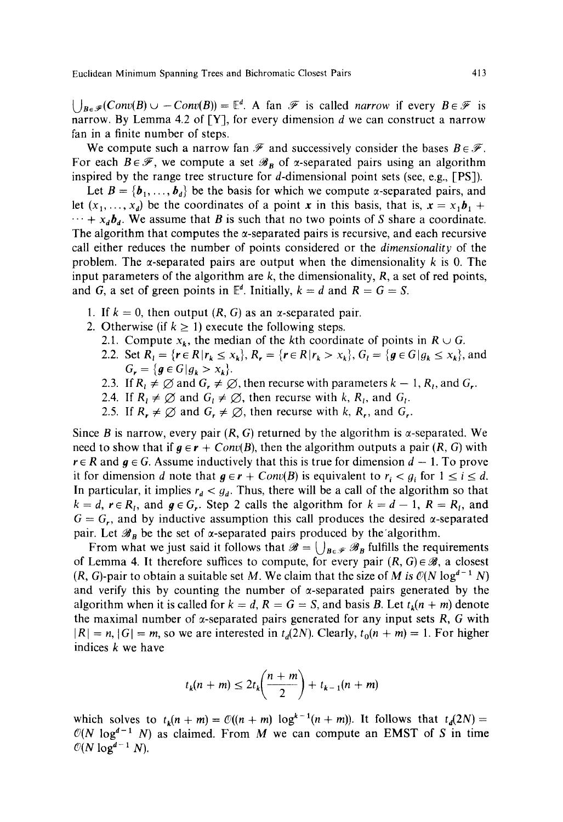$U_{B\in\mathscr{F}}(Conv(B)) - Conv(B)) = \mathbb{E}^d$ . A fan  $\mathscr{F}$  is called *narrow* if every  $B \in \mathscr{F}$  is narrow. By Lemma 4.2 of  $[Y]$ , for every dimension d we can construct a narrow fan in a finite number of steps.

We compute such a narrow fan  $\mathscr F$  and successively consider the bases  $B \in \mathscr F$ . For each  $B \in \mathcal{F}$ , we compute a set  $\mathcal{B}_B$  of *x*-separated pairs using an algorithm inspired by the range tree structure for d-dimensional point sets (see, e.g., [PSI).

Let  $B = \{b_1, \ldots, b_d\}$  be the basis for which we compute  $\alpha$ -separated pairs, and let  $(x_1, \ldots, x_d)$  be the coordinates of a point x in this basis, that is,  $x = x_1 b_1 + x_2$  $\cdots + x_d b_d$ . We assume that B is such that no two points of S share a coordinate. The algorithm that computes the  $\alpha$ -separated pairs is recursive, and each recursive call either reduces the number of points considered or the *dimensionality* of the problem. The  $\alpha$ -separated pairs are output when the dimensionality k is 0. The input parameters of the algorithm are  $k$ , the dimensionality,  $R$ , a set of red points, and G, a set of green points in  $\mathbb{E}^d$ . Initially,  $k = d$  and  $R = G = S$ .

- 1. If  $k = 0$ , then output  $(R, G)$  as an *x*-separated pair.
- 2. Otherwise (if  $k \ge 1$ ) execute the following steps.
	- 2.1. Compute  $x_k$ , the median of the kth coordinate of points in  $R \cup G$ .
	- 2.2. Set  $R_l = {r \in R | r_k \le x_k}, R_r = {r \in R | r_k > x_k}, G_l = {g \in G | g_k \le x_k}, \text{and}$  $G_r = \{g \in G | g_k > x_k\}.$
	- 2.3. If  $R_1 \neq \emptyset$  and  $G_r \neq \emptyset$ , then recurse with parameters  $k 1, R_1$ , and  $G_r$ .
	- 2.4. If  $R_1 \neq \emptyset$  and  $G_1 \neq \emptyset$ , then recurse with k,  $R_1$ , and  $G_1$ .
	- 2.5. If  $R_r \neq \emptyset$  and  $G_r \neq \emptyset$ , then recurse with k,  $R_r$ , and  $G_r$ .

Since B is narrow, every pair  $(R, G)$  returned by the algorithm is  $\alpha$ -separated. We need to show that if  $g \in r + Conv(B)$ , then the algorithm outputs a pair  $(R, G)$  with  $r \in R$  and  $g \in G$ . Assume inductively that this is true for dimension  $d - 1$ . To prove it for dimension d note that  $g \in r + Conv(B)$  is equivalent to  $r_i < g_i$  for  $1 \le i \le d$ . In particular, it implies  $r_d < g_d$ . Thus, there will be a call of the algorithm so that  $k = d$ ,  $r \in R_1$ , and  $g \in G_r$ . Step 2 calls the algorithm for  $k = d - 1$ ,  $R = R_1$ , and  $G = G_r$ , and by inductive assumption this call produces the desired  $\alpha$ -separated pair. Let  $\mathscr{B}_B$  be the set of  $\alpha$ -separated pairs produced by the algorithm.

From what we just said it follows that  $\mathscr{B} = \bigcup_{B \in \mathscr{F}} \mathscr{B}_B$  fulfills the requirements of Lemma 4. It therefore suffices to compute, for every pair  $(R, G) \in \mathcal{B}$ , a closest  $(R, G)$ -pair to obtain a suitable set M. We claim that the size of M is  $\mathcal{O}(N \log^{d-1} N)$ and verify this by counting the number of  $\alpha$ -separated pairs generated by the algorithm when it is called for  $k = d$ ,  $R = G = S$ , and basis B. Let  $t_k(n + m)$  denote the maximal number of  $\alpha$ -separated pairs generated for any input sets R, G with  $|R| = n$ ,  $|G| = m$ , so we are interested in  $t_d(2N)$ . Clearly,  $t_0(n + m) = 1$ . For higher indices  $k$  we have

$$
t_k(n+m) \leq 2t_k\left(\frac{n+m}{2}\right) + t_{k-1}(n+m)
$$

which solves to  $t_k(n + m) = \mathcal{O}((n + m) \log^{k-1}(n + m))$ . It follows that  $t_d(2N) =$  $\mathcal{O}(N \log^{d-1} N)$  as claimed. From M we can compute an EMST of S in time  $\mathcal{O}(N \log^{d-1} N)$ .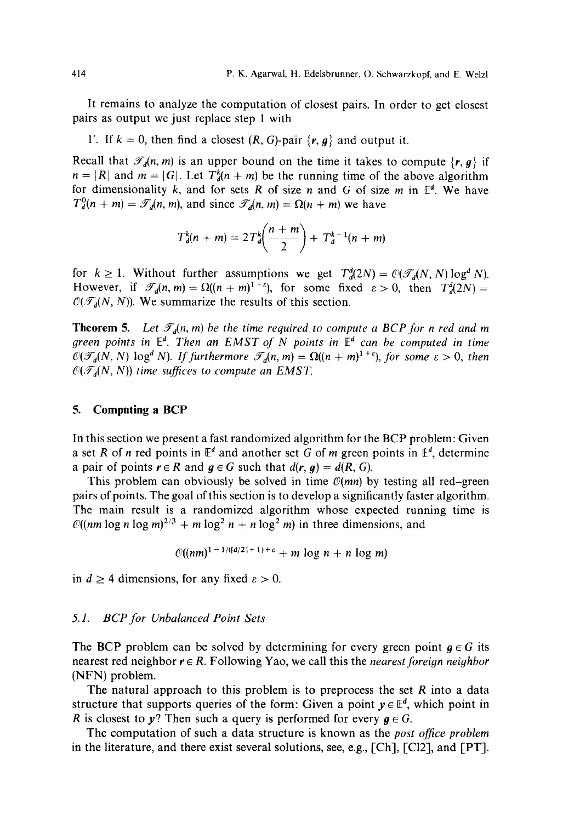It remains to analyze the computation of closest pairs. In order to get closest pairs as output we just replace step 1 with

1'. If  $k = 0$ , then find a closest  $(R, G)$ -pair  $\{r, g\}$  and output it.

Recall that  $\mathcal{T}_d(n, m)$  is an upper bound on the time it takes to compute  $\{r, g\}$  if  $n = |R|$  and  $m = |G|$ . Let  $T_d^{k}(n + m)$  be the running time of the above algorithm for dimensionality k, and for sets R of size n and G of size m in  $\mathbb{E}^d$ . We have  $T_d^0(n + m) = \mathcal{T}_d(n, m)$ , and since  $\mathcal{T}_d(n, m) = \Omega(n + m)$  we have

$$
T_d^k(n + m) = 2T_d^k\left(\frac{n + m}{2}\right) + T_d^{k-1}(n + m)
$$

for  $k \ge 1$ . Without further assumptions we get  $T_d^d(2N) = \mathcal{O}(\mathcal{T}_d(N, N) \log^d N)$ . However, if  $\mathscr{T}_d(n,m) = \Omega((n+m)^{1+\epsilon})$ , for some fixed  $\epsilon > 0$ , then  $T_d^d(2N) =$  $\mathcal{O}(\mathcal{T}_d(N, N))$ . We summarize the results of this section.

**Theorem 5.** *Let*  $\mathcal{T}_d(n, m)$  *be the time required to compute a BCP for n red and m green points in*  $E^d$ . Then an EMST of N points in  $E^d$  can be computed in time  $\mathcal{O}(\mathcal{F}_d(N, N) \log^d N)$ . If furthermore  $\mathcal{F}_d(n, m) = \Omega((n + m)^{1 + \varepsilon})$ , for some  $\varepsilon > 0$ , then  $\mathcal{O}(\mathcal{T}_d(N, N))$  *time suffices to compute an EMST.* 

#### **5. Computing a BCP**

In this section we present a fast randomized algorithm for the BCP problem: Given a set R of n red points in  $\mathbb{E}^d$  and another set G of m green points in  $\mathbb{E}^d$ , determine a pair of points  $r \in R$  and  $q \in G$  such that  $d(r, q) = d(R, G)$ .

This problem can obviously be solved in time  $\mathcal{O}(mn)$  by testing all red-green pairs of points. The goal of this section is to develop a significantly faster algorithm. The main result is a randomized algorithm whose expected running time is  $\mathcal{O}((nm \log n \log m)^{2/3} + m \log^2 n + n \log^2 m)$  in three dimensions, and

$$
\mathcal{O}((nm)^{1-1/([d/2]+1)+\varepsilon}+m\log n+n\log m)
$$

in  $d \geq 4$  dimensions, for any fixed  $\varepsilon > 0$ .

#### *5.1. BCP for Unbalanced Point Sets*

The BCP problem can be solved by determining for every green point  $g \in G$  its nearest red neighbor  $r \in R$ . Following Yao, we call this the *nearest foreign neighbor* (NFN) problem.

The natural approach to this problem is to preprocess the set  $R$  into a data structure that supports queries of the form: Given a point  $y \in \mathbb{E}^d$ , which point in R is closest to y? Then such a query is performed for every  $q \in G$ .

The computation of such a data structure is known as the *post office problem*  in the literature, and there exist several solutions, see, e.g., [Ch], [C12], and [PT].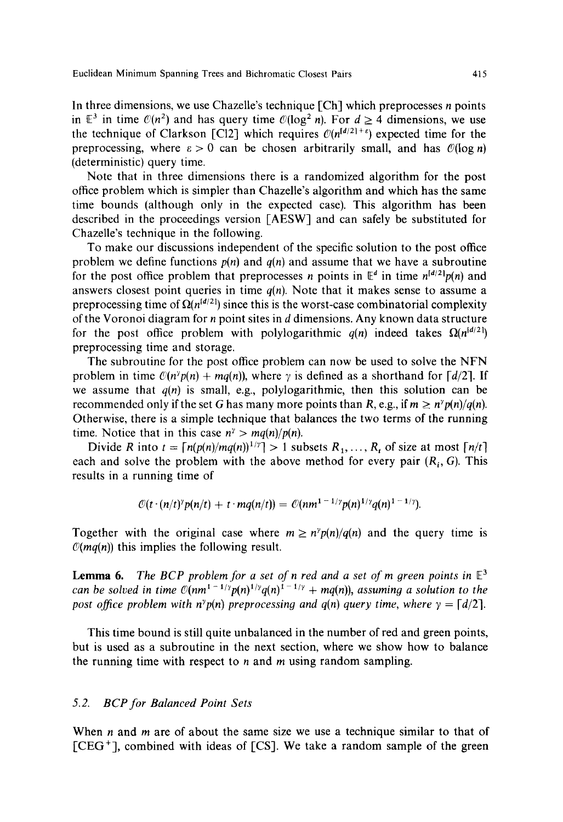In three dimensions, we use Chazelle's technique  $[Ch]$  which preprocesses *n* points in  $\mathbb{E}^3$  in time  $\mathcal{O}(n^2)$  and has query time  $\mathcal{O}(\log^2 n)$ . For  $d \geq 4$  dimensions, we use the technique of Clarkson [C12] which requires  $\mathcal{O}(n^{[d/2]+\epsilon})$  expected time for the preprocessing, where  $\varepsilon > 0$  can be chosen arbitrarily small, and has  $\mathcal{O}(\log n)$ (deterministic) query time.

Note that in three dimensions there is a randomized algorithm for the post office problem which is simpler than Chazelle's algorithm and which has the same time bounds (although only in the expected case). This algorithm has been described in the proceedings version [AESW] and can safely be substituted for Chazelle's technique in the following.

To make our discussions independent of the specific solution to the post office problem we define functions  $p(n)$  and  $q(n)$  and assume that we have a subroutine for the post office problem that preprocesses *n* points in  $\mathbb{E}^d$  in time  $n^{\lfloor d/2 \rfloor} p(n)$  and answers closest point queries in time  $q(n)$ . Note that it makes sense to assume a preprocessing time of  $\Omega(n^{d/2})$  since this is the worst-case combinatorial complexity of the Voronoi diagram for  $n$  point sites in  $d$  dimensions. Any known data structure for the post office problem with polylogarithmic  $q(n)$  indeed takes  $\Omega(n^{[d/2]})$ preprocessing time and storage.

The subroutine for the post office problem can now be used to solve the NFN problem in time  $\mathcal{O}(n^{\gamma}p(n) + mq(n))$ , where  $\gamma$  is defined as a shorthand for  $\lceil d/2 \rceil$ . If we assume that  $q(n)$  is small, e.g., polylogarithmic, then this solution can be recommended only if the set G has many more points than R, e.g., if  $m \ge n^{\gamma}p(n)/q(n)$ . Otherwise, there is a simple technique that balances the two terms of the running time. Notice that in this case  $n^{\gamma} > mq(n)/p(n)$ .

Divide R into  $t = \lceil n(p(n)/mq(n))^{1/\gamma} \rceil > 1$  subsets  $R_1, \ldots, R_t$  of size at most  $\lceil n/t \rceil$ each and solve the problem with the above method for every pair  $(R_i, G)$ . This results in a running time of

$$
\mathcal{O}(t \cdot (n/t)^{\gamma} p(n/t) + t \cdot mq(n/t)) = \mathcal{O}(nm^{1-1/\gamma} p(n)^{1/\gamma} q(n)^{1-1/\gamma}).
$$

Together with the original case where  $m \ge n^{\gamma} p(n)/q(n)$  and the query time is  $O(mq(n))$  this implies the following result.

**Lemma 6.** The BCP problem for a set of n red and a set of m green points in  $E^3$ *can be solved in time*  $\mathcal{O}(nm^{1-1/\gamma}p(n)^{1/\gamma}q(n)^{1-1/\gamma} + mq(n))$ *, assuming a solution to the post office problem with n<sup>y</sup>p(n) preprocessing and q(n) query time, where*  $\gamma = \lceil d/2 \rceil$ .

This time bound is still quite unbalanced in the number of red and green points, but is used as a subroutine in the next section, where we show how to balance the running time with respect to  $n$  and  $m$  using random sampling.

# *5.2. BCP for Balanced Point Sets*

When  $n$  and  $m$  are of about the same size we use a technique similar to that of  $[CEG^+]$ , combined with ideas of [CS]. We take a random sample of the green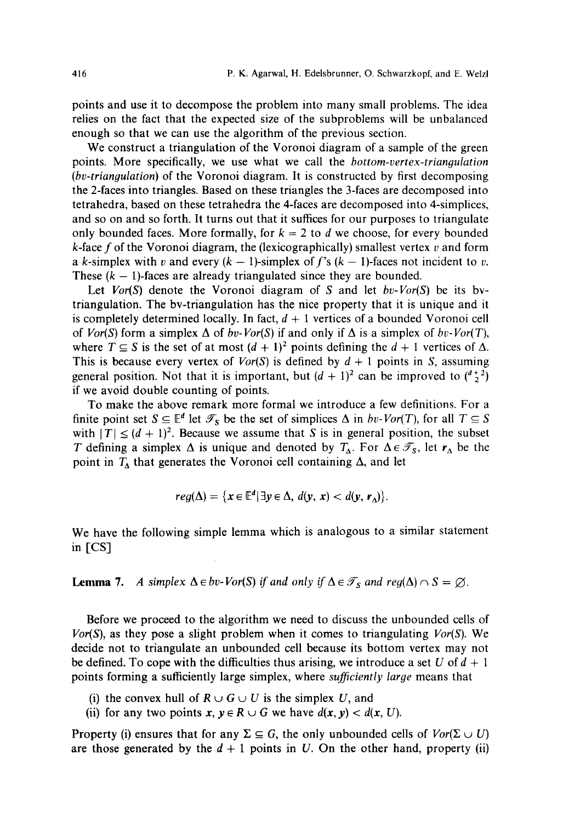points and use it to decompose the problem into many small problems. The idea relies on the fact that the expected size of the subproblems will be unbalanced enough so that we can use the algorithm of the previous section.

We construct a triangulation of the Voronoi diagram of a sample of the green points. More specifically, we use what we call the *bottom-vertex-triangulation (by-triangulation)* of the Voronoi diagram. It is constructed by first decomposing the 2-faces into triangles. Based on these triangles the 3-faces are decomposed into tetrahedra, based on these tetrahedra the 4-faces are decomposed into 4-simplices, and so on and so forth. It turns out that it suffices for our purposes to triangulate only bounded faces. More formally, for  $k = 2$  to d we choose, for every bounded k-face f of the Voronoi diagram, the (lexicographically) smallest vertex v and form a k-simplex with v and every  $(k - 1)$ -simplex of f's  $(k - 1)$ -faces not incident to v. These  $(k - 1)$ -faces are already triangulated since they are bounded.

Let  $Vor(S)$  denote the Voronoi diagram of S and let  $bv$ -Vor(S) be its bytriangulation. The bv-triangulation has the nice property that it is unique and it is completely determined locally. In fact,  $d + 1$  vertices of a bounded Voronoi cell of *Vor(S)* form a simplex  $\Delta$  of *bv-Vor(S)* if and only if  $\Delta$  is a simplex of *bv-Vor(T)*, where  $T \subseteq S$  is the set of at most  $(d + 1)^2$  points defining the  $d + 1$  vertices of  $\Delta$ . This is because every vertex of  $Vor(S)$  is defined by  $d + 1$  points in S, assuming general position. Not that it is important, but  $(d + 1)^2$  can be improved to  $\binom{d+2}{2}$ if we avoid double counting of points.

To make the above remark more formal we introduce a few definitions. For a finite point set  $S \subseteq \mathbb{E}^d$  let  $\mathcal{T}_S$  be the set of simplices  $\Delta$  in *bv-Vor(T)*, for all  $T \subseteq S$ with  $|T| \leq (d + 1)^2$ . Because we assume that S is in general position, the subset T defining a simplex  $\Delta$  is unique and denoted by  $T_{\Delta}$ . For  $\Delta \in \mathcal{T}_S$ , let  $r_{\Delta}$  be the point in  $T_{\Delta}$  that generates the Voronoi cell containing  $\Delta$ , and let

$$
reg(\Delta) = \{x \in \mathbb{E}^d | \exists y \in \Delta, d(y, x) < d(y, r_\Delta) \}.
$$

We have the following simple lemma which is analogous to a similar statement in [CS]

**Lemma 7.** A simplex  $\Delta \in bv$ -  $Vor(S)$  if and only if  $\Delta \in \mathcal{T}_S$  and  $reg(\Delta) \cap S = \emptyset$ .

Before we proceed to the algorithm we need to discuss the unbounded cells of *Vor(S),* as they pose a slight problem when it comes to triangulating *Vor(S).* We decide not to triangulate an unbounded cell because its bottom vertex may not be defined. To cope with the difficulties thus arising, we introduce a set U of  $d + 1$ points forming a sufficiently large simplex, where *sufficiently large* means that

- (i) the convex hull of  $R \cup G \cup U$  is the simplex U, and
- (ii) for any two points  $x, y \in R \cup G$  we have  $d(x, y) < d(x, U)$ .

Property (i) ensures that for any  $\Sigma \subseteq G$ , the only unbounded cells of  $Vor(\Sigma \cup U)$ are those generated by the  $d + 1$  points in U. On the other hand, property (ii)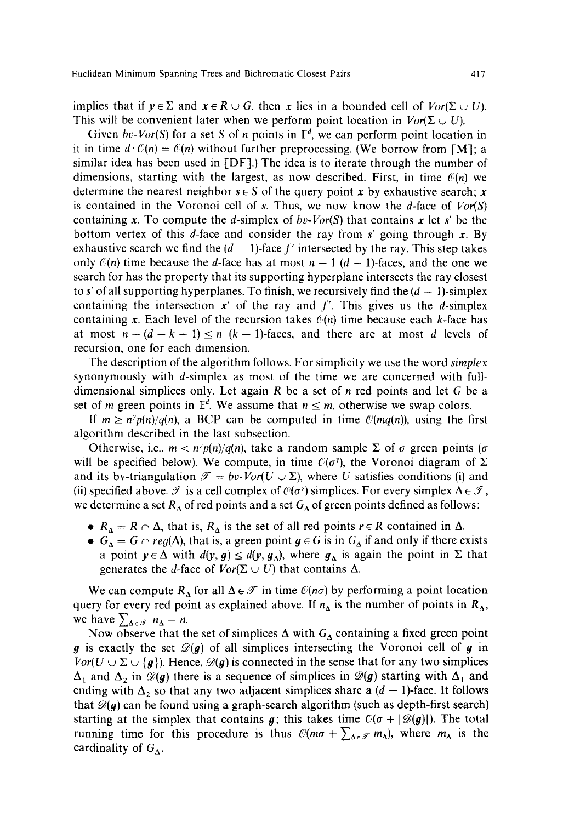implies that if  $y \in \Sigma$  and  $x \in R \cup G$ , then x lies in a bounded cell of  $Vor(\Sigma \cup U)$ . This will be convenient later when we perform point location in  $Vor(\Sigma \cup U)$ .

Given *bv-Vor(S)* for a set S of *n* points in  $\mathbb{E}^d$ , we can perform point location in it in time  $d \cdot \mathcal{O}(n) = \mathcal{O}(n)$  without further preprocessing. (We borrow from [M]; a similar idea has been used in [DF].) The idea is to iterate through the number of dimensions, starting with the largest, as now described. First, in time  $\mathcal{O}(n)$  we determine the nearest neighbor  $s \in S$  of the query point x by exhaustive search; x is contained in the Voronoi cell of s. Thus, we now know the d-face of *Vor(S)*  containing x. To compute the *d*-simplex of *bv-Vor(S)* that contains x let s' be the bottom vertex of this d-face and consider the ray from  $s'$  going through x. By exhaustive search we find the  $(d - 1)$ -face f' intersected by the ray. This step takes only  $\mathcal{O}(n)$  time because the d-face has at most  $n - 1$  (d - 1)-faces, and the one we search for has the property that its supporting hyperplane intersects the ray closest to s' of all supporting hyperplanes. To finish, we recursively find the  $(d - 1)$ -simplex containing the intersection  $x'$  of the ray and f'. This gives us the d-simplex containing x. Each level of the recursion takes  $\mathcal{O}(n)$  time because each k-face has at most  $n-(d-k+1) \le n (k-1)$ -faces, and there are at most d levels of recursion, one for each dimension.

The description of the algorithm follows. For simplicity we use the word *simplex*  synonymously with d-simplex as most of the time we are concerned with fulldimensional simplices only. Let again  $R$  be a set of  $n$  red points and let  $G$  be a set of *m* green points in  $\mathbb{E}^d$ . We assume that  $n \leq m$ , otherwise we swap colors.

If  $m \ge n^{\gamma}p(n)/q(n)$ , a BCP can be computed in time  $\mathcal{O}(mq(n))$ , using the first algorithm described in the last subsection.

Otherwise, i.e.,  $m < n^{\gamma}p(n)/q(n)$ , take a random sample  $\Sigma$  of  $\sigma$  green points ( $\sigma$ will be specified below). We compute, in time  $\mathcal{O}(\sigma^{\gamma})$ , the Voronoi diagram of  $\Sigma$ and its by-triangulation  $\mathcal{T} = bv$ -Vor( $U \cup \Sigma$ ), where U satisfies conditions (i) and (ii) specified above.  $\mathcal T$  is a cell complex of  $\mathcal O(\sigma^{\gamma})$  simplices. For every simplex  $\Delta \in \mathcal T$ , we determine a set  $R_A$  of red points and a set  $G_A$  of green points defined as follows:

- $R_{\Delta} = R \cap \Delta$ , that is,  $R_{\Delta}$  is the set of all red points  $r \in R$  contained in  $\Delta$ .
- $G_{\Delta} = G \cap reg(\Delta)$ , that is, a green point  $g \in G$  is in  $G_{\Delta}$  if and only if there exists a point  $y \in \Delta$  with  $d(y, g) \leq d(y, g_\Delta)$ , where  $g_\Delta$  is again the point in  $\Sigma$  that generates the *d*-face of  $Vor(\Sigma \cup U)$  that contains  $\Delta$ .

We can compute  $R_{\Lambda}$  for all  $\Delta \in \mathcal{T}$  in time  $\mathcal{O}(n\sigma)$  by performing a point location query for every red point as explained above. If  $n_A$  is the number of points in  $R_A$ , we have  $\sum_{\Delta \in \mathscr{F}} n_{\Delta} = n$ .

Now observe that the set of simplices  $\Delta$  with  $G_{\Delta}$  containing a fixed green point g is exactly the set  $\mathscr{D}(q)$  of all simplices intersecting the Voronoi cell of g in  $Vor(U \cup \Sigma \cup \{g\})$ . Hence,  $\mathscr{D}(g)$  is connected in the sense that for any two simplices  $\Delta_1$  and  $\Delta_2$  in  $\mathcal{D}(g)$  there is a sequence of simplices in  $\mathcal{D}(g)$  starting with  $\Delta_1$  and ending with  $\Delta_2$  so that any two adjacent simplices share a  $(d - 1)$ -face. It follows that  $\mathscr{D}(q)$  can be found using a graph-search algorithm (such as depth-first search) starting at the simplex that contains g; this takes time  $\mathcal{O}(\sigma + |\mathscr{D}(g)|)$ . The total running time for this procedure is thus  $\mathcal{O}(m\sigma + \sum_{\Delta \in \mathcal{F}} m_{\Delta})$ , where  $m_{\Delta}$  is the cardinality of  $G_{\Lambda}$ .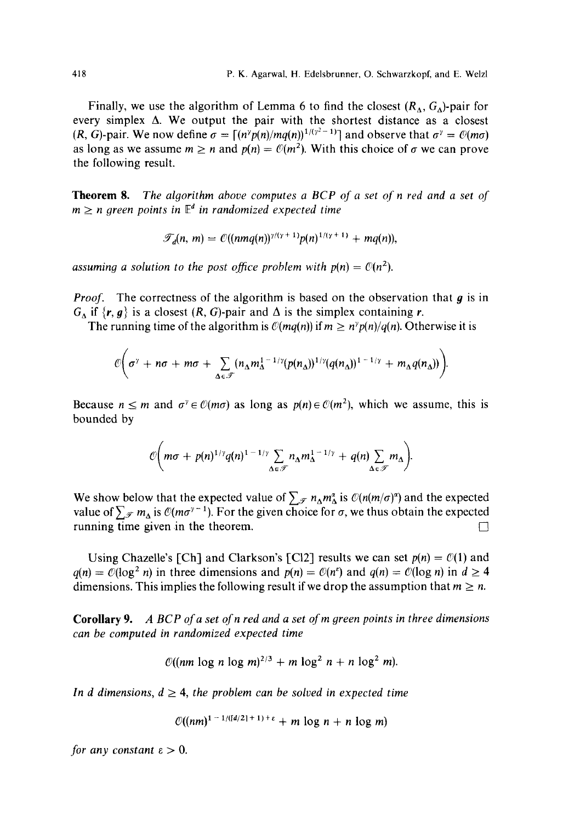Finally, we use the algorithm of Lemma 6 to find the closest  $(R_A, G_A)$ -pair for every simplex  $\Delta$ . We output the pair with the shortest distance as a closest  $(R, G)$ -pair. We now define  $\sigma = \lceil (n^{\gamma}p(n)/mq(n))^{1/(\gamma^2-1)} \rceil$  and observe that  $\sigma^{\gamma} = \mathcal{O}(m\sigma)$ as long as we assume  $m \ge n$  and  $p(n) = \mathcal{O}(m^2)$ . With this choice of  $\sigma$  we can prove the following result.

Theorem 8. *The algorithm above computes a BCP of a set of n red and a set of*   $m \geq n$  green points in  $\mathbb{E}^d$  in randomized expected time

$$
\mathscr{T}_d(n, m) = \mathcal{O}((nmq(n))^{\gamma/(\gamma+1)}p(n)^{1/(\gamma+1)} + mq(n)),
$$

*assuming a solution to the post office problem with*  $p(n) = \mathcal{O}(n^2)$ *.* 

*Proof.* The correctness of the algorithm is based on the observation that q is in  $G_A$  if  $\{r, q\}$  is a closest  $(R, G)$ -pair and  $\Delta$  is the simplex containing r.

The running time of the algorithm is  $\mathcal{O}(mq(n))$  if  $m \geq n^{\gamma}p(n)/q(n)$ . Otherwise it is

$$
\mathcal{O}\bigg(\sigma^{\gamma}+n\sigma+m\sigma+\sum_{\Delta\in\mathscr{T}}(n_{\Delta}m_{\Delta}^{1-1/\gamma}(p(n_{\Delta}))^{1/\gamma}(q(n_{\Delta}))^{1-1/\gamma}+m_{\Delta}q(n_{\Delta}))\bigg).
$$

Because  $n \le m$  and  $\sigma^{\gamma} \in \mathcal{O}(m\sigma)$  as long as  $p(n) \in \mathcal{O}(m^2)$ , which we assume, this is bounded by

$$
\mathcal{O}\bigg(m\sigma + p(n)^{1/\gamma}q(n)^{1-1/\gamma}\sum_{\Delta \in \mathscr{F}} n_{\Delta}m_{\Delta}^{1-1/\gamma} + q(n)\sum_{\Delta \in \mathscr{F}} m_{\Delta}\bigg).
$$

We show below that the expected value of  $\sum_{\mathcal{F}} n_{\Delta} m_{\Delta}^{\alpha}$  is  $\mathcal{O}(n(m/\sigma)^{\alpha})$  and the expected value of  $\sum_{\mathscr{F}} m_{\Delta}$  is  $\mathcal{O}(m\sigma^{\gamma-1})$ . For the given choice for  $\sigma$ , we thus obtain the expected running time given in the theorem.  $\Box$ 

Using Chazelle's [Ch] and Clarkson's [Cl2] results we can set  $p(n) = \mathcal{O}(1)$  and  $q(n) = \mathcal{O}(\log^2 n)$  in three dimensions and  $p(n) = \mathcal{O}(n^e)$  and  $q(n) = \mathcal{O}(\log n)$  in  $d \ge 4$ dimensions. This implies the following result if we drop the assumption that  $m \ge n$ .

Corollary *9. A BCP of a set of n red and a set of m green points in three dimensions can be computed in randomized expected time* 

$$
\mathcal{O}((nm \log n \log m)^{2/3} + m \log^2 n + n \log^2 m).
$$

*In d dimensions,*  $d \geq 4$ *, the problem can be solved in expected time* 

$$
\mathcal{O}((nm)^{1-1/([d/2]+1)+\epsilon} + m \log n + n \log m)
$$

*for any constant*  $\epsilon > 0$ *.*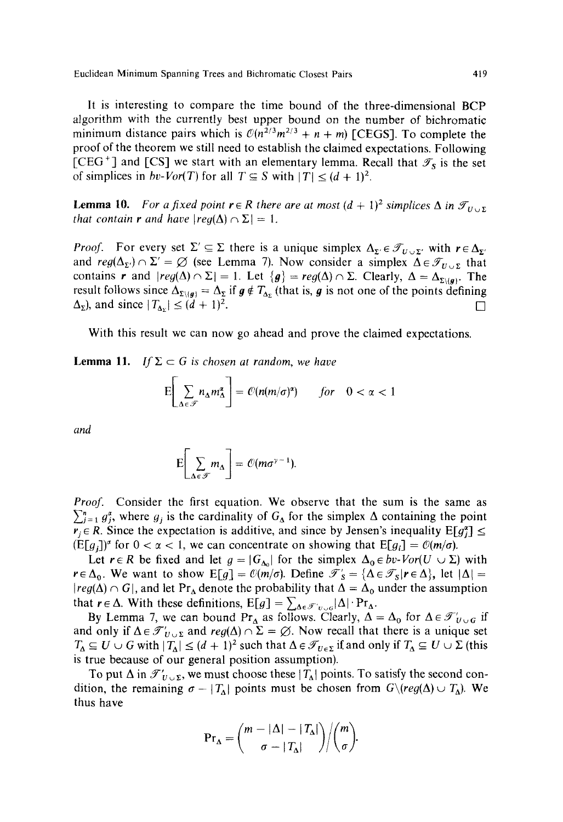It is interesting to compare the time bound of the three-dimensional BCP algorithm with the currently best upper bound on the number of bichromatic minimum distance pairs which is  $\mathcal{O}(n^{2/3}m^{2/3} + n + m)$  [CEGS]. To complete the proof of the theorem we still need to establish the claimed expectations. Following [CEG<sup>+</sup>] and [CS] we start with an elementary lemma. Recall that  $\mathscr{T}_{s}$  is the set of simplices in *bv-Vor*(T) for all  $T \subseteq S$  with  $|T| \leq (d + 1)^2$ .

**Lemma 10.** *For a fixed point r*  $\in$  *R there are at most*  $(d + 1)^2$  *simplices*  $\Delta$  *in*  $\mathcal{T}_{U \cup \Sigma}$ *that contain r and have*  $| \text{req}(\Delta) \cap \Sigma | = 1$ *.* 

*Proof.* For every set  $\Sigma' \subseteq \Sigma$  there is a unique simplex  $\Delta_{\Sigma'} \in \mathscr{T}_{U \cup \Sigma'}$  with  $r \in \Delta_{\Sigma'}$ and  $reg(\Delta_{\Sigma}) \cap \Sigma' = \emptyset$  (see Lemma 7). Now consider a simplex  $\Delta \in \mathcal{T}_{U \cup \Sigma}$  that contains r and  $|reg(\Delta) \cap \Sigma| = 1$ . Let  $\{g\} = reg(\Delta) \cap \Sigma$ . Clearly,  $\Delta = \Delta_{\Sigma \setminus \{g\}}$ . The result follows since  $\Delta_{\Sigma\setminus\{q\}} = \Delta_{\Sigma}$  if  $q \notin T_{\Delta_{\Sigma}}$  (that is, q is not one of the points defining  $\Delta_{\Sigma}$ ), and since  $|T_{\Delta_{\Sigma}}| \leq (d+1)^2$ .

With this result we can now go ahead and prove the claimed expectations.

**Lemma 11.** *If*  $\Sigma \subset G$  *is chosen at random, we have* 

$$
E\left[\sum_{\Delta \in \mathcal{F}} n_{\Delta} m_{\Delta}^{\alpha}\right] = \mathcal{O}(n(m/\sigma)^{\alpha}) \quad \text{for} \quad 0 < \alpha < 1
$$

*and* 

$$
E\left[\sum_{\Delta \in \mathscr{F}} m_{\Delta}\right] = \mathcal{O}(m\sigma^{\gamma-1}).
$$

*Proof.* Consider the first equation. We observe that the sum is the same as  $\sum_{i=1}^{n} g_i^2$ , where  $g_i$  is the cardinality of  $G_A$  for the simplex  $\Delta$  containing the point  $r_i \in R$ . Since the expectation is additive, and since by Jensen's inequality  $E[g_i^{\alpha}] \leq$  $(E[g_i])^{\sigma}$  for  $0 < \alpha < 1$ , we can concentrate on showing that  $E[g_i] = \mathcal{O}(m/\sigma)$ .

Let  $r \in R$  be fixed and let  $g = |G_{\Lambda_0}|$  for the simplex  $\Delta_0 \in bv$ -Vor( $U \cup \Sigma$ ) with  $r \in \Delta_0$ . We want to show  $E[g] = \mathcal{O}(m/\sigma)$ . Define  $\mathcal{F}'_S = {\Delta \in \mathcal{F}_S | r \in \Delta}$ , let  $|\Delta| =$  $|reg(\Delta) \cap G|$ , and let Pr<sub> $\Delta$ </sub> denote the probability that  $\Delta = \Delta_0$  under the assumption that  $r \in \Delta$ . With these definitions,  $E[g] = \sum_{\Delta \in \mathscr{F}'}_{\omega \cup \varphi} |\Delta| \cdot Pr_{\Delta}$ .

By Lemma 7, we can bound Pr<sub> $\Delta$ </sub> as follows. Clearly,  $\Delta = \Delta_0$  for  $\Delta \in \mathcal{F}_{U \cup G}$  if and only if  $\Delta \in \mathcal{F}_{U \cup \Sigma}$  and  $reg(\Delta) \cap \Sigma = \emptyset$ . Now recall that there is a unique set  $T_{\Delta} \subseteq U \cup G$  with  $|T_{\Delta}| \leq (d+1)^2$  such that  $\Delta \in \mathcal{T}_{U \in \Sigma}$  if and only if  $T_{\Delta} \subseteq U \cup \Sigma$  (this is true because of our general position assumption).

To put  $\Delta$  in  $\mathcal{F}_{U \cup \Sigma}$ , we must choose these  $|T_{\Delta}|$  points. To satisfy the second condition, the remaining  $\sigma - |T_A|$  points must be chosen from  $G\ (reg(\Delta) \cup T_A)$ . We thus have

$$
\Pr_{\Delta} = {m - |\Delta| - |T_{\Delta}| \choose \sigma - |T_{\Delta}|} / {m \choose \sigma}.
$$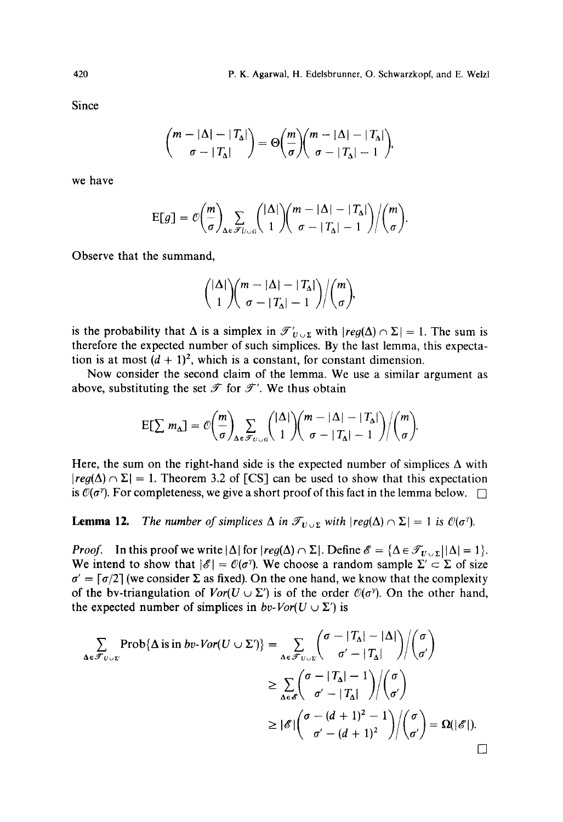Since

$$
\binom{m-|\Delta|-|T_{\Delta}|}{\sigma-|T_{\Delta}|}=\Theta\bigg(\frac{m}{\sigma}\bigg)\binom{m-|\Delta|-|T_{\Delta}|}{\sigma-|T_{\Delta}|-1}
$$

we have

$$
E[g] = \mathcal{O}\left(\frac{m}{\sigma}\right)_{\Delta \in \mathscr{F}_{U \cup G}} \left(\frac{|\Delta|}{1}\right) \left(\frac{m - |\Delta| - |T_{\Delta}|}{\sigma - |T_{\Delta}| - 1}\right) / \left(\frac{m}{\sigma}\right).
$$

Observe that the summand,

$$
{\binom{|\Delta|}{1}} {m - |\Delta| - |T_{\Delta}| \choose \sigma - |T_{\Delta}| - 1} / {m \choose \sigma},
$$

is the probability that  $\Delta$  is a simplex in  $\mathcal{T}'_{U \cup \Sigma}$  with  $|reg(\Delta) \cap \Sigma| = 1$ . The sum is therefore the expected number of such simplices. By the last lemma, this expectation is at most  $(d + 1)^2$ , which is a constant, for constant dimension.

Now consider the second claim of the lemma. We use a similar argument as above, substituting the set  $\mathscr T$  for  $\mathscr T'$ . We thus obtain

$$
E[\sum m_{\Delta}] = \mathcal{O}\left(\frac{m}{\sigma}\right)_{\Delta \in \mathcal{F}_{U \cup G}} \left(\frac{|\Delta|}{1}\right) \left(\frac{m - |\Delta| - |T_{\Delta}|}{\sigma - |T_{\Delta}| - 1}\right) / \left(\frac{m}{\sigma}\right).
$$

Here, the sum on the right-hand side is the expected number of simplices  $\Delta$  with  $|reg(\Delta) \cap \Sigma| = 1$ . Theorem 3.2 of [CS] can be used to show that this expectation is  $\mathcal{O}(\sigma^{\gamma})$ . For completeness, we give a short proof of this fact in the lemma below.  $\square$ 

**Lemma 12.** *The number of simplices*  $\Delta$  *in*  $\mathscr{T}_{U \cup \Sigma}$  *with*  $|reg(\Delta) \cap \Sigma| = 1$  *is*  $\mathbb{O}(\sigma^{\gamma})$ *.* 

*Proof.* In this proof we write  $|\Delta|$  for  $|reg(\Delta) \cap \Sigma|$ . Define  $\mathscr{E} = {\Delta \in \mathscr{T}_{U \cup \Sigma}} |\Delta| = 1$ . We intend to show that  $|\mathscr{E}| = \mathcal{O}(\sigma^{\gamma})$ . We choose a random sample  $\Sigma' \subset \Sigma$  of size  $\sigma' = \lceil \sigma/2 \rceil$  (we consider  $\Sigma$  as fixed). On the one hand, we know that the complexity of the bv-triangulation of  $Vor(U \cup \Sigma')$  is of the order  $\mathcal{O}(\sigma^{\gamma})$ . On the other hand, the expected number of simplices in  $bv$ -Vor( $U \cup \Sigma'$ ) is

$$
\sum_{\Delta \in \mathscr{F}_{U \cup \Sigma}} \operatorname{Prob}\{\Delta \text{ is in } bv\text{-}V or (U \cup \Sigma')\} = \sum_{\Delta \in \mathscr{F}_{U \cup \Sigma}} \binom{\sigma - |T_{\Delta}| - |\Delta|}{\sigma' - |T_{\Delta}|} / \binom{\sigma}{\sigma'}
$$
\n
$$
\geq \sum_{\Delta \in \mathscr{E}} \binom{\sigma - |T_{\Delta}| - 1}{\sigma' - |T_{\Delta}|} / \binom{\sigma}{\sigma'}
$$
\n
$$
\geq |\mathscr{E}| \binom{\sigma - (d+1)^2 - 1}{\sigma' - (d+1)^2} / \binom{\sigma}{\sigma'} = \Omega(|\mathscr{E}|).
$$

and a state

420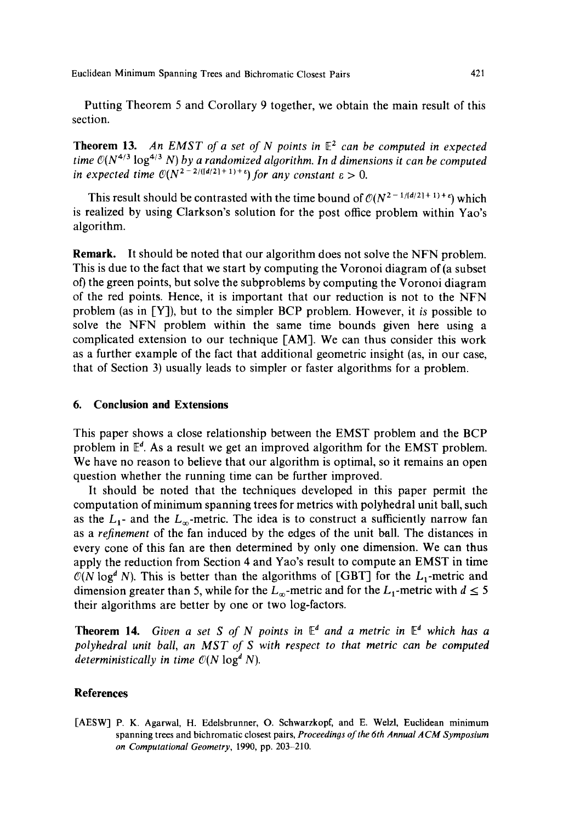Putting Theorem 5 and Corollary 9 together, we obtain the main result of this section.

**Theorem 13.** An EMST of a set of N points in  $E^2$  can be computed in expected *time*  $\mathcal{O}(N^{4/3} \log^{4/3} N)$  by a randomized algorithm. In d dimensions it can be computed in expected time  $O(N^{2-2/(d/2)+1)+\epsilon}$  for any constant  $\epsilon > 0$ .

This result should be contrasted with the time bound of  $\mathcal{O}(N^{2-\frac{1}{d/2}+1)+\epsilon}$ ) which is realized by using Clarkson's solution for the post office problem within Yao's algorithm.

Remark. It should be noted that our algorithm does not solve the NFN problem. This is due to the fact that we start by computing the Voronoi diagram of (a subset of) the green points, but solve the subproblems by computing the Voronoi diagram of the red points. Hence, it is important that our reduction is not to the NFN problem (as in [Y]), but to the simpler BCP problem. However, it *is* possible to solve the NFN problem within the same time bounds given here using a complicated extension to our technique [AM]. We can thus consider this work as a further example of the fact that additional geometric insight (as, in our case, that of Section 3) usually leads to simpler or faster algorithms for a problem.

### **6. Conclusion and Extensions**

This paper shows a close relationship between the EMST problem and the BCP problem in  $\mathbb{E}^d$ . As a result we get an improved algorithm for the EMST problem. We have no reason to believe that our algorithm is optimal, so it remains an open question whether the running time can be further improved.

It should be noted that the techniques developed in this paper permit the computation of minimum spanning trees for metrics with polyhedral unit ball, such as the  $L_1$ - and the  $L_\infty$ -metric. The idea is to construct a sufficiently narrow fan as a *refinement* of the fan induced by the edges of the unit ball. The distances in every cone of this fan are then determined by only one dimension. We can thus apply the reduction from Section 4 and Yao's result to compute an EMST in time  $\mathcal{O}(N \log^d N)$ . This is better than the algorithms of [GBT] for the  $L_1$ -metric and dimension greater than 5, while for the  $L_{\infty}$ -metric and for the  $L_1$ -metric with  $d \leq 5$ their algorithms are better by one or two log-factors.

**Theorem 14.** *Given a set S of N points in*  $E^d$  *and a metric in*  $E^d$  *which has a polyhedral unit ball, an MST of S with respect to that metric can be computed deterministically in time*  $O(N \log^d N)$ *.* 

#### **References**

[AESW] P. K. Agarwal, H. Edelsbrunner, O. Schwarzkopf, and E. Welzl, Euclidean minimum spanning trees and bichromatic closest pairs, *Proceedings of the 6th Annual A CM Symposium on Computational Geometry,* 1990, pp. 203-210.